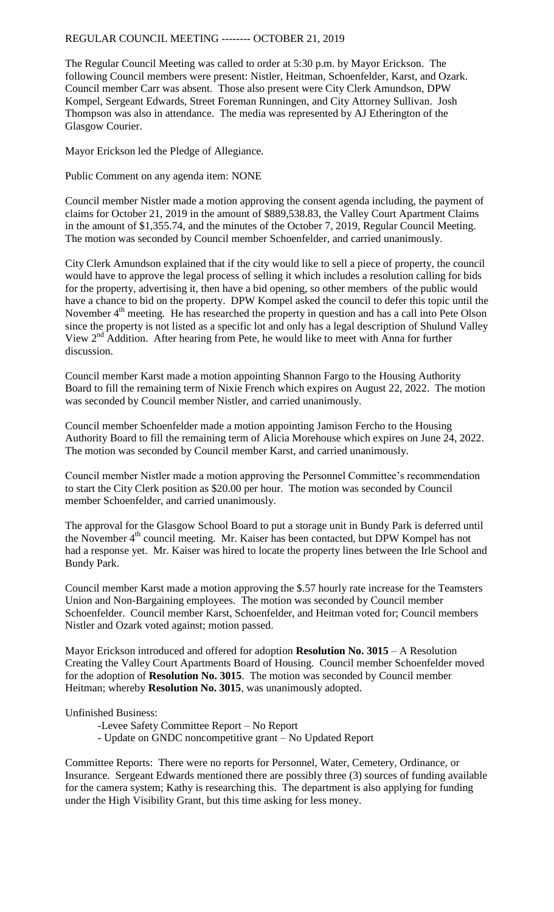REGULAR COUNCIL MEETING -------- OCTOBER 21, 2019

The Regular Council Meeting was called to order at 5:30 p.m. by Mayor Erickson. The following Council members were present: Nistler, Heitman, Schoenfelder, Karst, and Ozark. Council member Carr was absent. Those also present were City Clerk Amundson, DPW Kompel, Sergeant Edwards, Street Foreman Runningen, and City Attorney Sullivan. Josh Thompson was also in attendance. The media was represented by AJ Etherington of the Glasgow Courier.

Mayor Erickson led the Pledge of Allegiance.

Public Comment on any agenda item: NONE

Council member Nistler made a motion approving the consent agenda including, the payment of claims for October 21, 2019 in the amount of \$889,538.83, the Valley Court Apartment Claims in the amount of \$1,355.74, and the minutes of the October 7, 2019, Regular Council Meeting. The motion was seconded by Council member Schoenfelder, and carried unanimously.

City Clerk Amundson explained that if the city would like to sell a piece of property, the council would have to approve the legal process of selling it which includes a resolution calling for bids for the property, advertising it, then have a bid opening, so other members of the public would have a chance to bid on the property. DPW Kompel asked the council to defer this topic until the November  $4<sup>th</sup>$  meeting. He has researched the property in question and has a call into Pete Olson since the property is not listed as a specific lot and only has a legal description of Shulund Valley View  $2<sup>nd</sup>$  Addition. After hearing from Pete, he would like to meet with Anna for further discussion.

Council member Karst made a motion appointing Shannon Fargo to the Housing Authority Board to fill the remaining term of Nixie French which expires on August 22, 2022. The motion was seconded by Council member Nistler, and carried unanimously.

Council member Schoenfelder made a motion appointing Jamison Fercho to the Housing Authority Board to fill the remaining term of Alicia Morehouse which expires on June 24, 2022. The motion was seconded by Council member Karst, and carried unanimously.

Council member Nistler made a motion approving the Personnel Committee's recommendation to start the City Clerk position as \$20.00 per hour. The motion was seconded by Council member Schoenfelder, and carried unanimously.

The approval for the Glasgow School Board to put a storage unit in Bundy Park is deferred until the November  $4<sup>th</sup>$  council meeting. Mr. Kaiser has been contacted, but DPW Kompel has not had a response yet. Mr. Kaiser was hired to locate the property lines between the Irle School and Bundy Park.

Council member Karst made a motion approving the \$.57 hourly rate increase for the Teamsters Union and Non-Bargaining employees. The motion was seconded by Council member Schoenfelder. Council member Karst, Schoenfelder, and Heitman voted for; Council members Nistler and Ozark voted against; motion passed.

Mayor Erickson introduced and offered for adoption **Resolution No. 3015** – A Resolution Creating the Valley Court Apartments Board of Housing. Council member Schoenfelder moved for the adoption of **Resolution No. 3015**. The motion was seconded by Council member Heitman; whereby **Resolution No. 3015**, was unanimously adopted.

Unfinished Business:

- -Levee Safety Committee Report No Report
- Update on GNDC noncompetitive grant No Updated Report

Committee Reports: There were no reports for Personnel, Water, Cemetery, Ordinance, or Insurance. Sergeant Edwards mentioned there are possibly three (3) sources of funding available for the camera system; Kathy is researching this. The department is also applying for funding under the High Visibility Grant, but this time asking for less money.